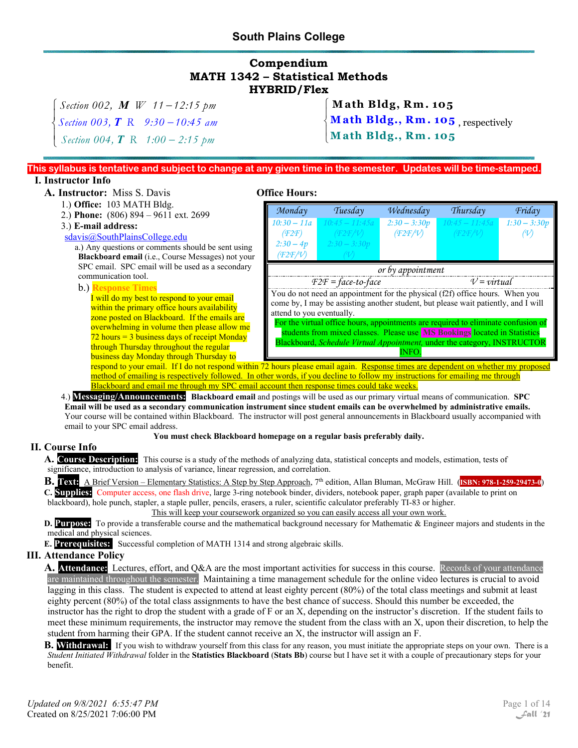# **South Plains College**

## **Compendium MATH 1342 – Statistical Methods HYBRID/Flex**

 $\left\lceil \right\rceil$  $\mathbf{I}$ 

 $\mathbf{I}$  $\overline{\mathfrak{l}}$ 

 $\begin{cases} \text{Section 002, } M \text{ W} \quad 11 - 12:15 \text{ pm} \\ 5 \text{ W} \quad 0.03 \text{ T} \cdot \text{R} \quad 0.30 \quad 10.45 \end{cases}$ ₹ Section 004,  $\boldsymbol{T}$  R 1:00 – *Section 003, R 9:30 10:45 am Section 004*,  $\boldsymbol{T}$  R *1:00 – 2:15* pm *T*

**Math Bldg, Rm . 105**

 **Math Bldg., R m. 105** , respectively **Math B ldg., Rm. 105**

#### **This syllabus is tentative and subject to change at any given time in the semester. Updates will be time-stamped. I. Instructor Info**

## **A. Instructor:** Miss S. Davis **Office Hours:**

- 1.) **Office:** 103 MATH Bldg.
- 2.) **Phone:** (806) 894 9611 ext. 2699
- 

# 3.) **E-mail address:**

#### sdavis@SouthPlainsCollege.edu

a.) Any questions or comments should be sent using **Blackboard email** (i.e., Course Messages) not your SPC email. SPC email will be used as a secondary communication tool.

#### b.) **Response Times**

I will do my best to respond to your email within the primary office hours availability zone posted on Blackboard. If the emails are overwhelming in volume then please allow me  $72$  hours = 3 business days of receipt Monday through Thursday throughout the regular business day Monday through Thursday to

| Monday                                                                                                                                                                                          | Tuesday                               |                | Thursday         | Friday         |  |  |
|-------------------------------------------------------------------------------------------------------------------------------------------------------------------------------------------------|---------------------------------------|----------------|------------------|----------------|--|--|
| $10:30 - 11a$                                                                                                                                                                                   | $10:45 - 11:45a$                      | $2:30 - 3:30p$ | $10:45 - 11:45a$ | $1:30 - 3:30p$ |  |  |
| (F2F)                                                                                                                                                                                           | (F2F/V)                               | (F2F/V)        | (F2F/V)          |                |  |  |
| $2:30-4p$                                                                                                                                                                                       | $2:30 - 3:30p$                        |                |                  |                |  |  |
| (F2F/V)                                                                                                                                                                                         |                                       |                |                  |                |  |  |
| or by appointment                                                                                                                                                                               |                                       |                |                  |                |  |  |
|                                                                                                                                                                                                 | $V = virtual$<br>$F2F = face-to-face$ |                |                  |                |  |  |
| You do not need an appointment for the physical (f2f) office hours. When you<br>come by, I may be assisting another student, but please wait patiently, and I will<br>attend to you eventually. |                                       |                |                  |                |  |  |
| For the virtual office hours, appointments are required to eliminate confusion of<br>students from mixed classes. Please use MS Bookings located in Statistics                                  |                                       |                |                  |                |  |  |
| Blackboard, Schedule Virtual Appointment, under the category, INSTRUCTOR                                                                                                                        |                                       |                |                  |                |  |  |
| <b>INFO</b>                                                                                                                                                                                     |                                       |                |                  |                |  |  |

respond to your email. If I do not respond within 72 hours please email again. Response times are dependent on whether my proposed method of emailing is respectively followed. In other words, if you decline to follow my instructions for emailing me through Blackboard and email me through my SPC email account then response times could take weeks.

4.) **Messaging/Announcements: Blackboard email** and postings will be used as our primary virtual means of communication. **SPC Email will be used as a secondary communication instrument since student emails can be overwhelmed by administrative emails.**  Your course will be contained within Blackboard. The instructor will post general announcements in Blackboard usually accompanied with email to your SPC email address.

#### **You must check Blackboard homepage on a regular basis preferably daily.**

#### **II. Course Info**

**A. Course Description:** This course is a study of the methods of analyzing data, statistical concepts and models, estimation, tests of significance, introduction to analysis of variance, linear regression, and correlation.

**B. Text:** A Brief Version – Elementary Statistics: A Step by Step Approach, 7th edition, Allan Bluman, McGraw Hill. (**ISBN: 978-1-259-29473-0**)

**C. Supplies:** Computer access, one flash drive, large 3-ring notebook binder, dividers, notebook paper, graph paper (available to print on blackboard), hole punch, stapler, a staple puller, pencils, erasers, a ruler, scientific calculator preferably TI-83 or higher.

This will keep your coursework organized so you can easily access all your own work.

**D. Purpose:** To provide a transferable course and the mathematical background necessary for Mathematic & Engineer majors and students in the medical and physical sciences.

**E. Prerequisites:** Successful completion of MATH 1314 and strong algebraic skills.

#### **III. Attendance Policy**

A. Attendance: Lectures, effort, and Q&A are the most important activities for success in this course. Records of your attendance are maintained throughout the semester. Maintaining a time management schedule for the online video lectures is crucial to avoid lagging in this class. The student is expected to attend at least eighty percent (80%) of the total class meetings and submit at least eighty percent (80%) of the total class assignments to have the best chance of success. Should this number be exceeded, the instructor has the right to drop the student with a grade of F or an X, depending on the instructor's discretion. If the student fails to meet these minimum requirements, the instructor may remove the student from the class with an X, upon their discretion, to help the student from harming their GPA. If the student cannot receive an X, the instructor will assign an F.

**B. Withdrawal:** If you wish to withdraw yourself from this class for any reason, you must initiate the appropriate steps on your own. There is a *Student Initiated Withdrawal* folder in the **Statistics Blackboard** (**Stats Bb**) course but I have set it with a couple of precautionary steps for your benefit.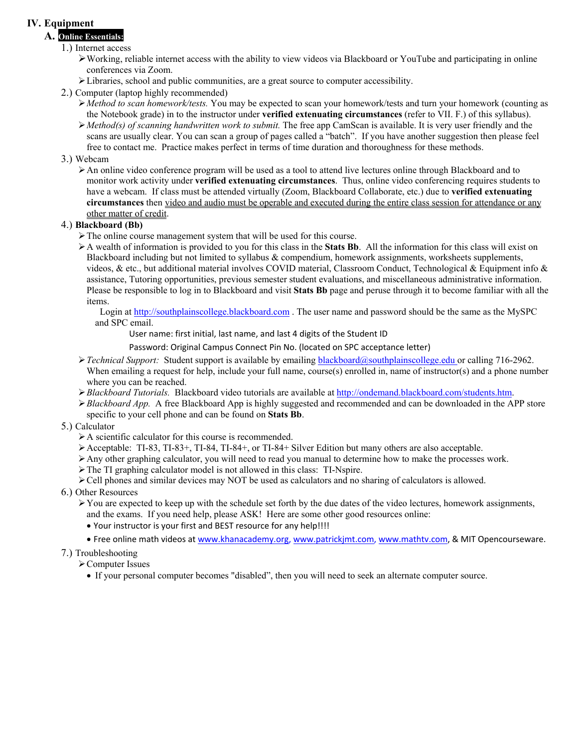## **IV. Equipment**

## **A. Online Essentials:**

- 1.) Internet access
	- Working, reliable internet access with the ability to view videos via Blackboard or YouTube and participating in online conferences via Zoom.
	- $\triangleright$  Libraries, school and public communities, are a great source to computer accessibility.
- 2.) Computer (laptop highly recommended)
	- *Method to scan homework/tests.* You may be expected to scan your homework/tests and turn your homework (counting as the Notebook grade) in to the instructor under **verified extenuating circumstances** (refer to VII. F.) of this syllabus).
	- *Method(s) of scanning handwritten work to submit.* The free app CamScan is available. It is very user friendly and the scans are usually clear. You can scan a group of pages called a "batch". If you have another suggestion then please feel free to contact me. Practice makes perfect in terms of time duration and thoroughness for these methods.

### 3.) Webcam

An online video conference program will be used as a tool to attend live lectures online through Blackboard and to monitor work activity under **verified extenuating circumstances**. Thus, online video conferencing requires students to have a webcam. If class must be attended virtually (Zoom, Blackboard Collaborate, etc.) due to **verified extenuating circumstances** then video and audio must be operable and executed during the entire class session for attendance or any other matter of credit.

### 4.) **Blackboard (Bb)**

- The online course management system that will be used for this course.
- A wealth of information is provided to you for this class in the **Stats Bb**. All the information for this class will exist on Blackboard including but not limited to syllabus & compendium, homework assignments, worksheets supplements, videos, & etc., but additional material involves COVID material, Classroom Conduct, Technological & Equipment info & assistance, Tutoring opportunities, previous semester student evaluations, and miscellaneous administrative information. Please be responsible to log in to Blackboard and visit **Stats Bb** page and peruse through it to become familiar with all the items.

Login at http://southplainscollege.blackboard.com. The user name and password should be the same as the MySPC and SPC email.

User name: first initial, last name, and last 4 digits of the Student ID

#### Password: Original Campus Connect Pin No. (located on SPC acceptance letter)

- *Fechnical Support:* Student support is available by emailing **blackboard**@southplainscollege.edu or calling 716-2962. When emailing a request for help, include your full name, course(s) enrolled in, name of instructor(s) and a phone number where you can be reached.
- *Blackboard Tutorials.* Blackboard video tutorials are available at http://ondemand.blackboard.com/students.htm.
- *Blackboard App.* A free Blackboard App is highly suggested and recommended and can be downloaded in the APP store specific to your cell phone and can be found on **Stats Bb**.

#### 5.) Calculator

- A scientific calculator for this course is recommended.
- $\blacktriangleright$  Acceptable: TI-83, TI-83+, TI-84, TI-84+, or TI-84+ Silver Edition but many others are also acceptable.
- Any other graphing calculator, you will need to read you manual to determine how to make the processes work.
- The TI graphing calculator model is not allowed in this class: TI-Nspire.

Cell phones and similar devices may NOT be used as calculators and no sharing of calculators is allowed.

#### 6.) Other Resources

- $\triangleright$  You are expected to keep up with the schedule set forth by the due dates of the video lectures, homework assignments, and the exams. If you need help, please ASK! Here are some other good resources online:
	- Your instructor is your first and BEST resource for any help!!!!
	- Free online math videos at www.khanacademy.org, www.patrickjmt.com, www.mathtv.com, & MIT Opencourseware.

#### 7.) Troubleshooting

Computer Issues

If your personal computer becomes "disabled", then you will need to seek an alternate computer source.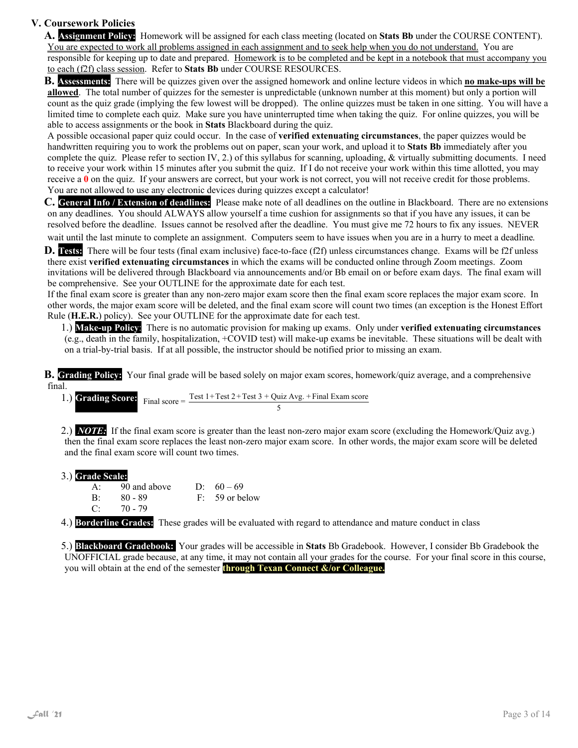## **V. Coursework Policies**

**A. Assignment Policy:** Homework will be assigned for each class meeting (located on **Stats Bb** under the COURSE CONTENT). You are expected to work all problems assigned in each assignment and to seek help when you do not understand. You are responsible for keeping up to date and prepared. Homework is to be completed and be kept in a notebook that must accompany you to each (f2f) class session. Refer to **Stats Bb** under COURSE RESOURCES.

**B. Assessments:** There will be quizzes given over the assigned homework and online lecture videos in which **no make-ups will be allowed**. The total number of quizzes for the semester is unpredictable (unknown number at this moment) but only a portion will count as the quiz grade (implying the few lowest will be dropped). The online quizzes must be taken in one sitting. You will have a limited time to complete each quiz. Make sure you have uninterrupted time when taking the quiz. For online quizzes, you will be able to access assignments or the book in **Stats** Blackboard during the quiz.

A possible occasional paper quiz could occur. In the case of **verified extenuating circumstances**, the paper quizzes would be handwritten requiring you to work the problems out on paper, scan your work, and upload it to **Stats Bb** immediately after you complete the quiz. Please refer to section IV, 2.) of this syllabus for scanning, uploading, & virtually submitting documents. I need to receive your work within 15 minutes after you submit the quiz. If I do not receive your work within this time allotted, you may receive a **0** on the quiz. If your answers are correct, but your work is not correct, you will not receive credit for those problems. You are not allowed to use any electronic devices during quizzes except a calculator!

**C. General Info / Extension of deadlines:** Please make note of all deadlines on the outline in Blackboard. There are no extensions on any deadlines. You should ALWAYS allow yourself a time cushion for assignments so that if you have any issues, it can be resolved before the deadline. Issues cannot be resolved after the deadline. You must give me 72 hours to fix any issues. NEVER

wait until the last minute to complete an assignment. Computers seem to have issues when you are in a hurry to meet a deadline.

**D. Tests:** There will be four tests (final exam inclusive) face-to-face (f2f) unless circumstances change. Exams will be f2f unless there exist **verified extenuating circumstances** in which the exams will be conducted online through Zoom meetings. Zoom invitations will be delivered through Blackboard via announcements and/or Bb email on or before exam days. The final exam will be comprehensive. See your OUTLINE for the approximate date for each test.

If the final exam score is greater than any non-zero major exam score then the final exam score replaces the major exam score. In other words, the major exam score will be deleted, and the final exam score will count two times (an exception is the Honest Effort Rule (**H.E.R.**) policy). See your OUTLINE for the approximate date for each test.

1.) **Make-up Policy**: There is no automatic provision for making up exams. Only under **verified extenuating circumstances** (e.g., death in the family, hospitalization, +COVID test) will make-up exams be inevitable. These situations will be dealt with on a trial-by-trial basis. If at all possible, the instructor should be notified prior to missing an exam.

**B. Grading Policy:** Your final grade will be based solely on major exam scores, homework/quiz average, and a comprehensive final.

1.) **Grading Score:**  $\frac{3}{4}$  Final score =  $\frac{\text{Test }1+\text{Test }2+\text{Test }3+ \text{Quiz Avg. }+ \text{Final Exam score}}{2}$ 5

2.) *NOTE:* If the final exam score is greater than the least non-zero major exam score (excluding the Homework/Quiz avg.) then the final exam score replaces the least non-zero major exam score. In other words, the major exam score will be deleted and the final exam score will count two times.

3.) **Grade Scale:** A: 90 and above D:  $60-69$ B: 80 - 89 F: 59 or below C: 70 - 79

4.) **Borderline Grades:** These grades will be evaluated with regard to attendance and mature conduct in class

5.) **Blackboard Gradebook:** Your grades will be accessible in **Stats** Bb Gradebook. However, I consider Bb Gradebook the UNOFFICIAL grade because, at any time, it may not contain all your grades for the course. For your final score in this course, you will obtain at the end of the semester **through Texan Connect &/or Colleague.**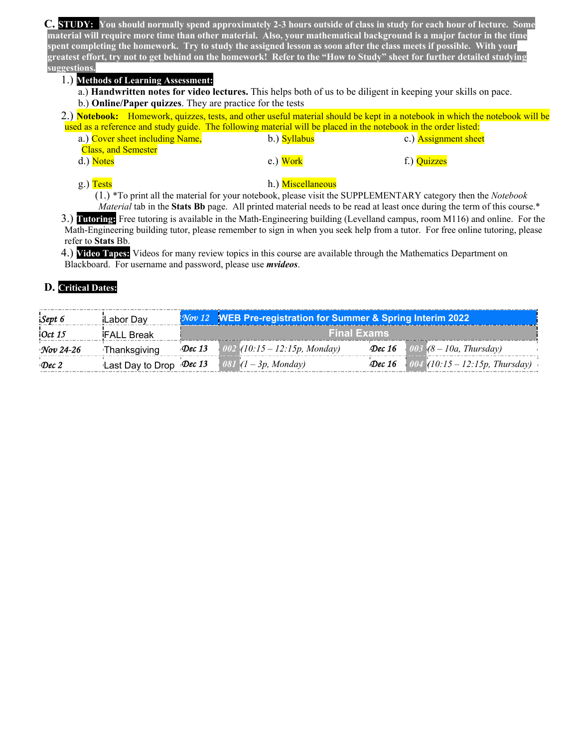**C. STUDY: You should normally spend approximately 2-3 hours outside of class in study for each hour of lecture. Some material will require more time than other material. Also, your mathematical background is a major factor in the time spent completing the homework. Try to study the assigned lesson as soon after the class meets if possible. With your greatest effort, try not to get behind on the homework! Refer to the "How to Study" sheet for further detailed studying suggestions.**

#### 1.) **Methods of Learning Assessment:**

a.) **Handwritten notes for video lectures.** This helps both of us to be diligent in keeping your skills on pace. b.) **Online/Paper quizzes**. They are practice for the tests

|                                 |              | 2.) Notebook: Homework, quizzes, tests, and other useful material should be kept in a notebook in which the notebook will be |  |
|---------------------------------|--------------|------------------------------------------------------------------------------------------------------------------------------|--|
|                                 |              | used as a reference and study guide. The following material will be placed in the notebook in the order listed:              |  |
| a.) Cover sheet including Name, | b.) Syllabus | c.) <b>Assignment sheet</b>                                                                                                  |  |

| $\frac{1}{2}$              | $\frac{1}{2}$ | $\ldots$ , $\ldots$ |
|----------------------------|---------------|---------------------|
| <b>Class, and Semester</b> |               |                     |
| d.) Notes                  | e.) Work      | f.) Quizzes         |
|                            |               |                     |

#### g.) Tests h.) Miscellaneous

(1.) \*To print all the material for your notebook, please visit the SUPPLEMENTARY category then the *Notebook Material* tab in the **Stats Bb** page. All printed material needs to be read at least once during the term of this course.\*

3.) **Tutoring:** Free tutoring is available in the Math-Engineering building (Levelland campus, room M116) and online. For the Math-Engineering building tutor, please remember to sign in when you seek help from a tutor. For free online tutoring, please refer to **Stats** Bb.

4.) **Video Tapes:** Videos for many review topics in this course are available through the Mathematics Department on Blackboard. For username and password, please use *mvideos*.

### **D. Critical Dates:**

| Sept 6        | Labor Day         |        | <b>Nov 12 WEB Pre-registration for Summer &amp; Spring Interim 2022</b> |                                              |
|---------------|-------------------|--------|-------------------------------------------------------------------------|----------------------------------------------|
| 10ct 15       | <b>FALL Break</b> |        | <b>Final Exams</b>                                                      |                                              |
| Nov 24-26     | Thanksgiving      | Dec 13 | $002$ (10:15 – 12:15p, Monday)                                          | <b>Dec 16</b> 003 $(8 - 10a, Thursday)$      |
| $\cdot$ Dec 2 |                   |        | <b>Last Day to Drop Dec 13</b> 081 $(1-3p, Monday)$                     | <b>Dec 16</b> 004 (10:15 – 12:15p, Thursday) |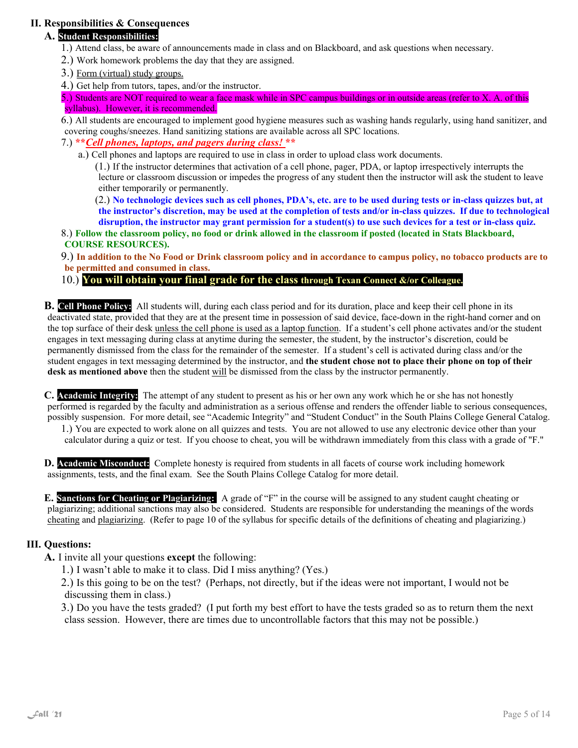## **II. Responsibilities & Consequences**

## **A. Student Responsibilities:**

- 1.) Attend class, be aware of announcements made in class and on Blackboard, and ask questions when necessary.
- 2.) Work homework problems the day that they are assigned.
- 3.) Form (virtual) study groups.
- 4.) Get help from tutors, tapes, and/or the instructor.

5.) Students are NOT required to wear a face mask while in SPC campus buildings or in outside areas (refer to X. A. of this syllabus). However, it is recommended.

6.) All students are encouraged to implement good hygiene measures such as washing hands regularly, using hand sanitizer, and covering coughs/sneezes. Hand sanitizing stations are available across all SPC locations.

- 7.) **\*\****Cell phones, laptops, and pagers during class!* **\*\***
	- a.) Cell phones and laptops are required to use in class in order to upload class work documents.

(1.) If the instructor determines that activation of a cell phone, pager, PDA, or laptop irrespectively interrupts the lecture or classroom discussion or impedes the progress of any student then the instructor will ask the student to leave either temporarily or permanently.

(2.) **No technologic devices such as cell phones, PDA's, etc. are to be used during tests or in-class quizzes but, at the instructor's discretion, may be used at the completion of tests and/or in-class quizzes. If due to technological disruption, the instructor may grant permission for a student(s) to use such devices for a test or in-class quiz.** 

8.) **Follow the classroom policy, no food or drink allowed in the classroom if posted (located in Stats Blackboard, COURSE RESOURCES).**

9.) **In addition to the No Food or Drink classroom policy and in accordance to campus policy, no tobacco products are to be permitted and consumed in class.** 

#### 10.) **You will obtain your final grade for the class through Texan Connect &/or Colleague.**

**B. Cell Phone Policy:** All students will, during each class period and for its duration, place and keep their cell phone in its deactivated state, provided that they are at the present time in possession of said device, face-down in the right-hand corner and on the top surface of their desk unless the cell phone is used as a laptop function. If a student's cell phone activates and/or the student engages in text messaging during class at anytime during the semester, the student, by the instructor's discretion, could be permanently dismissed from the class for the remainder of the semester. If a student's cell is activated during class and/or the student engages in text messaging determined by the instructor, and **the student chose not to place their phone on top of their desk as mentioned above** then the student will be dismissed from the class by the instructor permanently.

**C. Academic Integrity:** The attempt of any student to present as his or her own any work which he or she has not honestly performed is regarded by the faculty and administration as a serious offense and renders the offender liable to serious consequences, possibly suspension. For more detail, see "Academic Integrity" and "Student Conduct" in the South Plains College General Catalog.

1.) You are expected to work alone on all quizzes and tests. You are not allowed to use any electronic device other than your calculator during a quiz or test. If you choose to cheat, you will be withdrawn immediately from this class with a grade of "F."

**D. Academic Misconduct:** Complete honesty is required from students in all facets of course work including homework assignments, tests, and the final exam. See the South Plains College Catalog for more detail.

**E. Sanctions for Cheating or Plagiarizing:** A grade of "F" in the course will be assigned to any student caught cheating or plagiarizing; additional sanctions may also be considered. Students are responsible for understanding the meanings of the words cheating and plagiarizing. (Refer to page 10 of the syllabus for specific details of the definitions of cheating and plagiarizing.)

#### **III. Questions:**

**A.** I invite all your questions **except** the following:

1.) I wasn't able to make it to class. Did I miss anything? (Yes.)

2.) Is this going to be on the test? (Perhaps, not directly, but if the ideas were not important, I would not be discussing them in class.)

3.) Do you have the tests graded? (I put forth my best effort to have the tests graded so as to return them the next class session. However, there are times due to uncontrollable factors that this may not be possible.)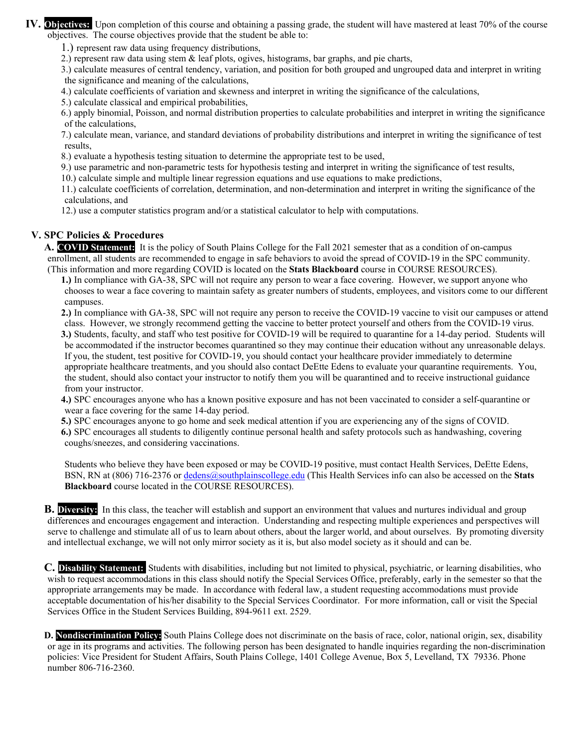**IV. Objectives:** Upon completion of this course and obtaining a passing grade, the student will have mastered at least 70% of the course objectives. The course objectives provide that the student be able to:

1.) represent raw data using frequency distributions,

2.) represent raw data using stem & leaf plots, ogives, histograms, bar graphs, and pie charts,

3.) calculate measures of central tendency, variation, and position for both grouped and ungrouped data and interpret in writing the significance and meaning of the calculations,

4.) calculate coefficients of variation and skewness and interpret in writing the significance of the calculations,

5.) calculate classical and empirical probabilities,

6.) apply binomial, Poisson, and normal distribution properties to calculate probabilities and interpret in writing the significance of the calculations,

7.) calculate mean, variance, and standard deviations of probability distributions and interpret in writing the significance of test results,

8.) evaluate a hypothesis testing situation to determine the appropriate test to be used,

9.) use parametric and non-parametric tests for hypothesis testing and interpret in writing the significance of test results,

10.) calculate simple and multiple linear regression equations and use equations to make predictions,

11.) calculate coefficients of correlation, determination, and non-determination and interpret in writing the significance of the calculations, and

12.) use a computer statistics program and/or a statistical calculator to help with computations.

#### **V. SPC Policies & Procedures**

**A. COVID Statement:** It is the policy of South Plains College for the Fall 2021 semester that as a condition of on-campus enrollment, all students are recommended to engage in safe behaviors to avoid the spread of COVID-19 in the SPC community. (This information and more regarding COVID is located on the **Stats Blackboard** course in COURSE RESOURCES).

**1.)** In compliance with GA-38, SPC will not require any person to wear a face covering. However, we support anyone who chooses to wear a face covering to maintain safety as greater numbers of students, employees, and visitors come to our different campuses.

**2.)** In compliance with GA-38, SPC will not require any person to receive the COVID-19 vaccine to visit our campuses or attend class. However, we strongly recommend getting the vaccine to better protect yourself and others from the COVID-19 virus. **3.)** Students, faculty, and staff who test positive for COVID-19 will be required to quarantine for a 14-day period. Students will be accommodated if the instructor becomes quarantined so they may continue their education without any unreasonable delays. If you, the student, test positive for COVID-19, you should contact your healthcare provider immediately to determine appropriate healthcare treatments, and you should also contact DeEtte Edens to evaluate your quarantine requirements. You, the student, should also contact your instructor to notify them you will be quarantined and to receive instructional guidance

from your instructor.

**4.)** SPC encourages anyone who has a known positive exposure and has not been vaccinated to consider a self-quarantine or wear a face covering for the same 14-day period.

**5.)** SPC encourages anyone to go home and seek medical attention if you are experiencing any of the signs of COVID.

**6.)** SPC encourages all students to diligently continue personal health and safety protocols such as handwashing, covering coughs/sneezes, and considering vaccinations.

Students who believe they have been exposed or may be COVID-19 positive, must contact Health Services, DeEtte Edens, BSN, RN at (806) 716-2376 or dedens@southplainscollege.edu (This Health Services info can also be accessed on the **Stats Blackboard** course located in the COURSE RESOURCES).

**B. Diversity:** In this class, the teacher will establish and support an environment that values and nurtures individual and group differences and encourages engagement and interaction. Understanding and respecting multiple experiences and perspectives will serve to challenge and stimulate all of us to learn about others, about the larger world, and about ourselves. By promoting diversity and intellectual exchange, we will not only mirror society as it is, but also model society as it should and can be.

**C. Disability Statement:** Students with disabilities, including but not limited to physical, psychiatric, or learning disabilities, who wish to request accommodations in this class should notify the Special Services Office, preferably, early in the semester so that the appropriate arrangements may be made. In accordance with federal law, a student requesting accommodations must provide acceptable documentation of his/her disability to the Special Services Coordinator. For more information, call or visit the Special Services Office in the Student Services Building, 894-9611 ext. 2529.

**D. Nondiscrimination Policy:** South Plains College does not discriminate on the basis of race, color, national origin, sex, disability or age in its programs and activities. The following person has been designated to handle inquiries regarding the non-discrimination policies: Vice President for Student Affairs, South Plains College, 1401 College Avenue, Box 5, Levelland, TX 79336. Phone number 806-716-2360.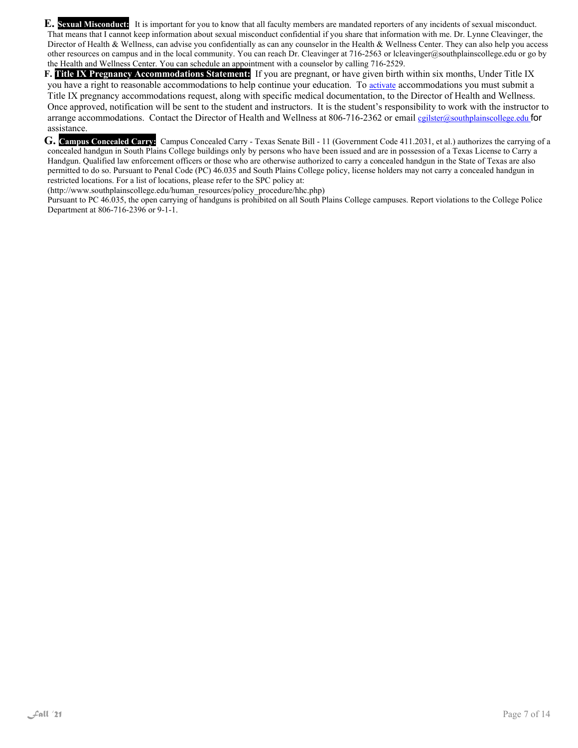**E. Sexual Misconduct:** It is important for you to know that all faculty members are mandated reporters of any incidents of sexual misconduct. That means that I cannot keep information about sexual misconduct confidential if you share that information with me. Dr. Lynne Cleavinger, the Director of Health & Wellness, can advise you confidentially as can any counselor in the Health & Wellness Center. They can also help you access other resources on campus and in the local community. You can reach Dr. Cleavinger at 716-2563 or lcleavinger@southplainscollege.edu or go by the Health and Wellness Center. You can schedule an appointment with a counselor by calling 716-2529.

**F. Title IX Pregnancy Accommodations Statement:** If you are pregnant, or have given birth within six months, Under Title IX you have a right to reasonable accommodations to help continue your education. To activate accommodations you must submit a Title IX pregnancy accommodations request, along with specific medical documentation, to the Director of Health and Wellness. Once approved, notification will be sent to the student and instructors. It is the student's responsibility to work with the instructor to arrange accommodations. Contact the Director of Health and Wellness at 806-716-2362 or email cgilster@southplainscollege.edu for assistance.

**G. Campus Concealed Carry:** Campus Concealed Carry - Texas Senate Bill - 11 (Government Code 411.2031, et al.) authorizes the carrying of a concealed handgun in South Plains College buildings only by persons who have been issued and are in possession of a Texas License to Carry a Handgun. Qualified law enforcement officers or those who are otherwise authorized to carry a concealed handgun in the State of Texas are also permitted to do so. Pursuant to Penal Code (PC) 46.035 and South Plains College policy, license holders may not carry a concealed handgun in restricted locations. For a list of locations, please refer to the SPC policy at:

(http://www.southplainscollege.edu/human\_resources/policy\_procedure/hhc.php)

Pursuant to PC 46.035, the open carrying of handguns is prohibited on all South Plains College campuses. Report violations to the College Police Department at 806-716-2396 or 9-1-1.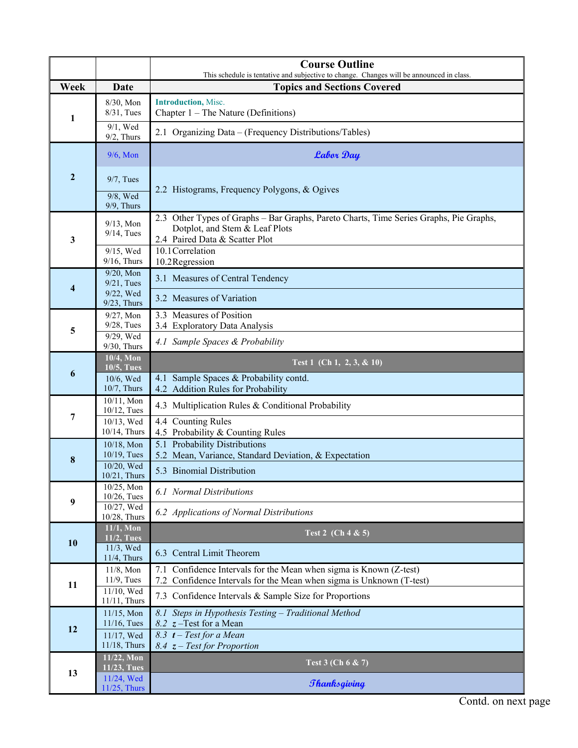|                |                                                                          | <b>Course Outline</b><br>This schedule is tentative and subjective to change. Changes will be announced in class.                                          |  |  |  |
|----------------|--------------------------------------------------------------------------|------------------------------------------------------------------------------------------------------------------------------------------------------------|--|--|--|
| Week           | Date                                                                     | <b>Topics and Sections Covered</b>                                                                                                                         |  |  |  |
| 1              | 8/30, Mon<br>8/31, Tues                                                  | <b>Introduction</b> , Misc.<br>Chapter $1$ – The Nature (Definitions)                                                                                      |  |  |  |
|                | $9/1$ , Wed<br>$9/2$ , Thurs                                             | 2.1 Organizing Data – (Frequency Distributions/Tables)                                                                                                     |  |  |  |
| $\overline{2}$ | $9/6$ , Mon                                                              | <b>Labor Day</b>                                                                                                                                           |  |  |  |
|                | $9/7$ , Tues<br>9/8, Wed                                                 | 2.2 Histograms, Frequency Polygons, & Ogives                                                                                                               |  |  |  |
|                | $9/9$ , Thurs                                                            |                                                                                                                                                            |  |  |  |
| 3              | $9/13$ , Mon<br>$9/14$ , Tues                                            | 2.3 Other Types of Graphs – Bar Graphs, Pareto Charts, Time Series Graphs, Pie Graphs,<br>Dotplot, and Stem & Leaf Plots<br>2.4 Paired Data & Scatter Plot |  |  |  |
|                | 9/15, Wed<br>$9/16$ , Thurs                                              | 10.1 Correlation<br>10.2Regression                                                                                                                         |  |  |  |
| 4              | 9/20, Mon<br>$9/21$ , Tues                                               | 3.1 Measures of Central Tendency                                                                                                                           |  |  |  |
|                | 9/22, Wed<br>$9/23$ , Thurs                                              | 3.2 Measures of Variation                                                                                                                                  |  |  |  |
| 5              | $9/27$ , Mon<br>$9/28$ , Tues                                            | 3.3 Measures of Position<br>3.4 Exploratory Data Analysis                                                                                                  |  |  |  |
|                | 9/29, Wed<br>$9/30$ , Thurs                                              | 4.1 Sample Spaces & Probability                                                                                                                            |  |  |  |
|                | 10/4, Mon<br>10/5, Tues                                                  | Test 1 (Ch 1, 2, 3, & 10)                                                                                                                                  |  |  |  |
| 6              | 10/6, Wed<br>10/7, Thurs                                                 | 4.1 Sample Spaces & Probability contd.<br>4.2 Addition Rules for Probability                                                                               |  |  |  |
|                | 10/11, Mon<br>$10/12$ , Tues                                             | 4.3 Multiplication Rules & Conditional Probability                                                                                                         |  |  |  |
| 7              | 10/13, Wed<br>10/14, Thurs                                               | 4.4 Counting Rules<br>4.5 Probability & Counting Rules                                                                                                     |  |  |  |
|                | 10/18, Mon                                                               | 5.1 Probability Distributions                                                                                                                              |  |  |  |
| 8              | $10/19$ , Tues<br>10/20, Wed                                             | 5.2 Mean, Variance, Standard Deviation, & Expectation<br>5.3 Binomial Distribution                                                                         |  |  |  |
| 9              | 10/21, Thurs<br>10/25, Mon<br>6.1 Normal Distributions<br>$10/26$ , Tues |                                                                                                                                                            |  |  |  |
|                | 10/27, Wed<br>10/28, Thurs                                               | 6.2 Applications of Normal Distributions                                                                                                                   |  |  |  |
|                | $11/1$ , Mon<br>11/2, Tues                                               | Test 2 (Ch 4 & 5)                                                                                                                                          |  |  |  |
| 10             | 11/3, Wed<br>$11/4$ , Thurs                                              | 6.3 Central Limit Theorem                                                                                                                                  |  |  |  |
| 11             | $11/8$ , Mon<br>$11/9$ , Tues                                            | 7.1<br>Confidence Intervals for the Mean when sigma is Known (Z-test)<br>7.2 Confidence Intervals for the Mean when sigma is Unknown (T-test)              |  |  |  |
|                | 11/10, Wed<br>11/11, Thurs                                               | 7.3 Confidence Intervals & Sample Size for Proportions                                                                                                     |  |  |  |
|                | 11/15, Mon<br>$11/16$ , Tues                                             | 8.1 Steps in Hypothesis Testing - Traditional Method<br>8.2 <i>z</i> -Test for a Mean                                                                      |  |  |  |
| 12             | 11/17, Wed<br>11/18, Thurs                                               | 8.3 $t$ – Test for a Mean<br>8.4 $z$ – Test for Proportion                                                                                                 |  |  |  |
|                | 11/22, Mon<br>11/23, Tues                                                | Test 3 (Ch 6 & 7)                                                                                                                                          |  |  |  |
| 13             | 11/24, Wed<br>11/25, Thurs                                               | <b><i><u><i>Shanksgiving</i></u></i></b>                                                                                                                   |  |  |  |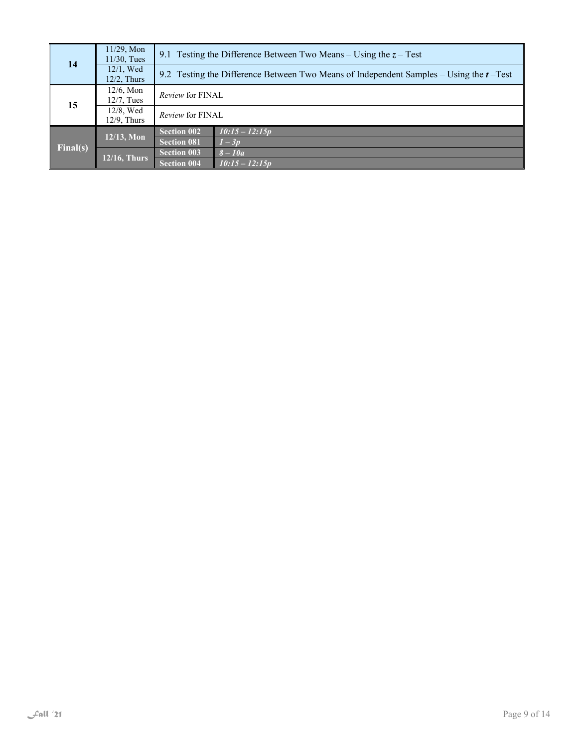| 14       | 11/29, Mon<br>$11/30$ , Tues   | 9.1 Testing the Difference Between Two Means – Using the $z$ – Test                       |                  |  |
|----------|--------------------------------|-------------------------------------------------------------------------------------------|------------------|--|
|          | $12/1$ , Wed<br>$12/2$ , Thurs | 9.2 Testing the Difference Between Two Means of Independent Samples – Using the $t$ –Test |                  |  |
| 15       | $12/6$ , Mon<br>$12/7$ . Tues  | <i>Review</i> for FINAL                                                                   |                  |  |
|          | 12/8, Wed<br>$12/9$ , Thurs    | Review for FINAL                                                                          |                  |  |
| Final(s) | $12/13$ , Mon                  | <b>Section 002</b>                                                                        | $10:15 - 12:15p$ |  |
|          |                                | <b>Section 081</b>                                                                        | $1-3p$           |  |
|          | <b>12/16, Thurs</b>            | <b>Section 003</b>                                                                        | $8-10a$          |  |
|          |                                | <b>Section 004</b>                                                                        | $10:15 - 12:15p$ |  |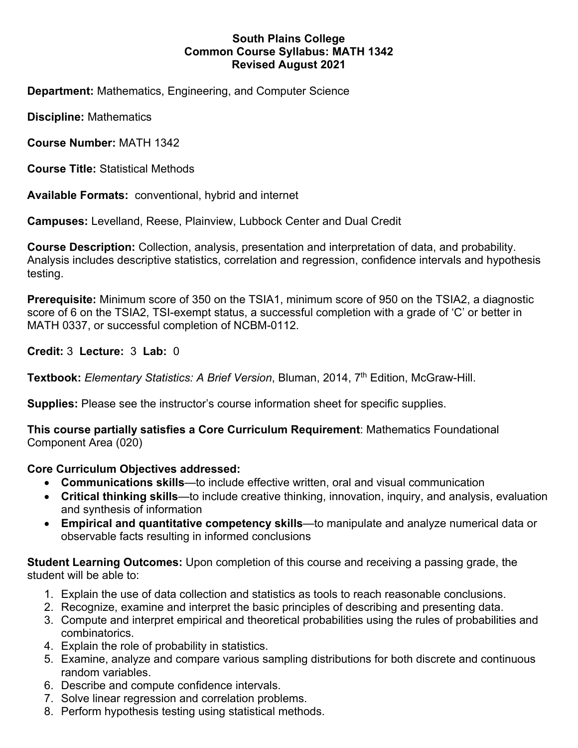# **South Plains College Common Course Syllabus: MATH 1342 Revised August 2021**

**Department:** Mathematics, Engineering, and Computer Science

**Discipline:** Mathematics

**Course Number:** MATH 1342

**Course Title:** Statistical Methods

**Available Formats:** conventional, hybrid and internet

**Campuses:** Levelland, Reese, Plainview, Lubbock Center and Dual Credit

**Course Description:** Collection, analysis, presentation and interpretation of data, and probability. Analysis includes descriptive statistics, correlation and regression, confidence intervals and hypothesis testing.

**Prerequisite:** Minimum score of 350 on the TSIA1, minimum score of 950 on the TSIA2, a diagnostic score of 6 on the TSIA2, TSI-exempt status, a successful completion with a grade of 'C' or better in MATH 0337, or successful completion of NCBM-0112.

**Credit:** 3 **Lecture:** 3 **Lab:** 0

Textbook: *Elementary Statistics: A Brief Version*, Bluman, 2014, 7<sup>th</sup> Edition, McGraw-Hill.

**Supplies:** Please see the instructor's course information sheet for specific supplies.

**This course partially satisfies a Core Curriculum Requirement**: Mathematics Foundational Component Area (020)

**Core Curriculum Objectives addressed:** 

- **Communications skills**—to include effective written, oral and visual communication
- **Critical thinking skills**—to include creative thinking, innovation, inquiry, and analysis, evaluation and synthesis of information
- **Empirical and quantitative competency skills**—to manipulate and analyze numerical data or observable facts resulting in informed conclusions

**Student Learning Outcomes:** Upon completion of this course and receiving a passing grade, the student will be able to:

- 1. Explain the use of data collection and statistics as tools to reach reasonable conclusions.
- 2. Recognize, examine and interpret the basic principles of describing and presenting data.
- 3. Compute and interpret empirical and theoretical probabilities using the rules of probabilities and combinatorics.
- 4. Explain the role of probability in statistics.
- 5. Examine, analyze and compare various sampling distributions for both discrete and continuous random variables.
- 6. Describe and compute confidence intervals.
- 7. Solve linear regression and correlation problems.
- 8. Perform hypothesis testing using statistical methods.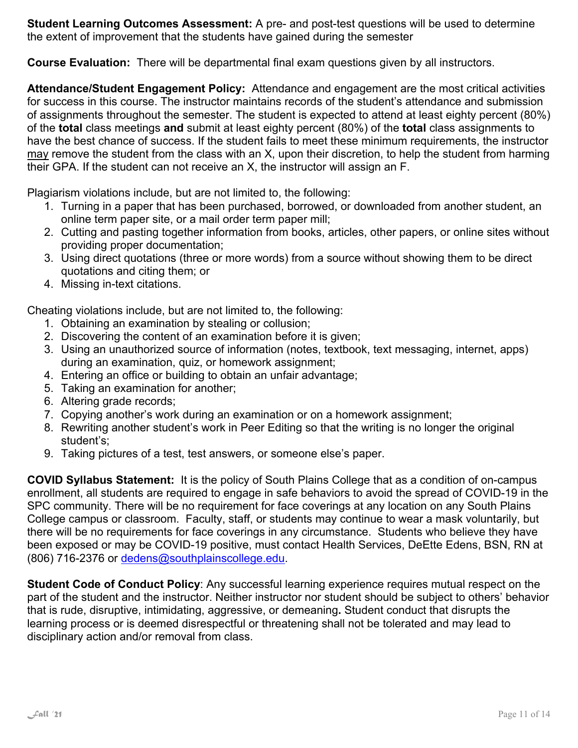**Student Learning Outcomes Assessment:** A pre- and post-test questions will be used to determine the extent of improvement that the students have gained during the semester

**Course Evaluation:** There will be departmental final exam questions given by all instructors.

**Attendance/Student Engagement Policy:** Attendance and engagement are the most critical activities for success in this course. The instructor maintains records of the student's attendance and submission of assignments throughout the semester. The student is expected to attend at least eighty percent (80%) of the **total** class meetings **and** submit at least eighty percent (80%) of the **total** class assignments to have the best chance of success. If the student fails to meet these minimum requirements, the instructor may remove the student from the class with an X, upon their discretion, to help the student from harming their GPA. If the student can not receive an X, the instructor will assign an F.

Plagiarism violations include, but are not limited to, the following:

- 1. Turning in a paper that has been purchased, borrowed, or downloaded from another student, an online term paper site, or a mail order term paper mill;
- 2. Cutting and pasting together information from books, articles, other papers, or online sites without providing proper documentation;
- 3. Using direct quotations (three or more words) from a source without showing them to be direct quotations and citing them; or
- 4. Missing in-text citations.

Cheating violations include, but are not limited to, the following:

- 1. Obtaining an examination by stealing or collusion;
- 2. Discovering the content of an examination before it is given;
- 3. Using an unauthorized source of information (notes, textbook, text messaging, internet, apps) during an examination, quiz, or homework assignment;
- 4. Entering an office or building to obtain an unfair advantage;
- 5. Taking an examination for another;
- 6. Altering grade records;
- 7. Copying another's work during an examination or on a homework assignment;
- 8. Rewriting another student's work in Peer Editing so that the writing is no longer the original student's;
- 9. Taking pictures of a test, test answers, or someone else's paper.

**COVID Syllabus Statement:** It is the policy of South Plains College that as a condition of on-campus enrollment, all students are required to engage in safe behaviors to avoid the spread of COVID-19 in the SPC community. There will be no requirement for face coverings at any location on any South Plains College campus or classroom. Faculty, staff, or students may continue to wear a mask voluntarily, but there will be no requirements for face coverings in any circumstance. Students who believe they have been exposed or may be COVID-19 positive, must contact Health Services, DeEtte Edens, BSN, RN at (806) 716-2376 or dedens@southplainscollege.edu.

**Student Code of Conduct Policy**: Any successful learning experience requires mutual respect on the part of the student and the instructor. Neither instructor nor student should be subject to others' behavior that is rude, disruptive, intimidating, aggressive, or demeaning**.** Student conduct that disrupts the learning process or is deemed disrespectful or threatening shall not be tolerated and may lead to disciplinary action and/or removal from class.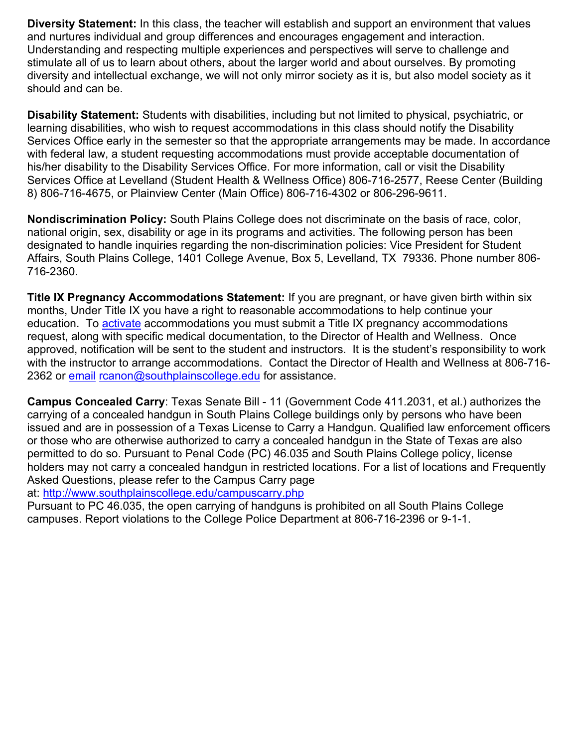**Diversity Statement:** In this class, the teacher will establish and support an environment that values and nurtures individual and group differences and encourages engagement and interaction. Understanding and respecting multiple experiences and perspectives will serve to challenge and stimulate all of us to learn about others, about the larger world and about ourselves. By promoting diversity and intellectual exchange, we will not only mirror society as it is, but also model society as it should and can be.

**Disability Statement:** Students with disabilities, including but not limited to physical, psychiatric, or learning disabilities, who wish to request accommodations in this class should notify the Disability Services Office early in the semester so that the appropriate arrangements may be made. In accordance with federal law, a student requesting accommodations must provide acceptable documentation of his/her disability to the Disability Services Office. For more information, call or visit the Disability Services Office at Levelland (Student Health & Wellness Office) 806-716-2577, Reese Center (Building 8) 806-716-4675, or Plainview Center (Main Office) 806-716-4302 or 806-296-9611.

**Nondiscrimination Policy:** South Plains College does not discriminate on the basis of race, color, national origin, sex, disability or age in its programs and activities. The following person has been designated to handle inquiries regarding the non-discrimination policies: Vice President for Student Affairs, South Plains College, 1401 College Avenue, Box 5, Levelland, TX 79336. Phone number 806- 716-2360.

**Title IX Pregnancy Accommodations Statement:** If you are pregnant, or have given birth within six months, Under Title IX you have a right to reasonable accommodations to help continue your education. To activate accommodations you must submit a Title IX pregnancy accommodations request, along with specific medical documentation, to the Director of Health and Wellness. Once approved, notification will be sent to the student and instructors. It is the student's responsibility to work with the instructor to arrange accommodations. Contact the Director of Health and Wellness at 806-716- 2362 or email rcanon@southplainscollege.edu for assistance.

**Campus Concealed Carry**: Texas Senate Bill - 11 (Government Code 411.2031, et al.) authorizes the carrying of a concealed handgun in South Plains College buildings only by persons who have been issued and are in possession of a Texas License to Carry a Handgun. Qualified law enforcement officers or those who are otherwise authorized to carry a concealed handgun in the State of Texas are also permitted to do so. Pursuant to Penal Code (PC) 46.035 and South Plains College policy, license holders may not carry a concealed handgun in restricted locations. For a list of locations and Frequently Asked Questions, please refer to the Campus Carry page

at: http://www.southplainscollege.edu/campuscarry.php

Pursuant to PC 46.035, the open carrying of handguns is prohibited on all South Plains College campuses. Report violations to the College Police Department at 806-716-2396 or 9-1-1.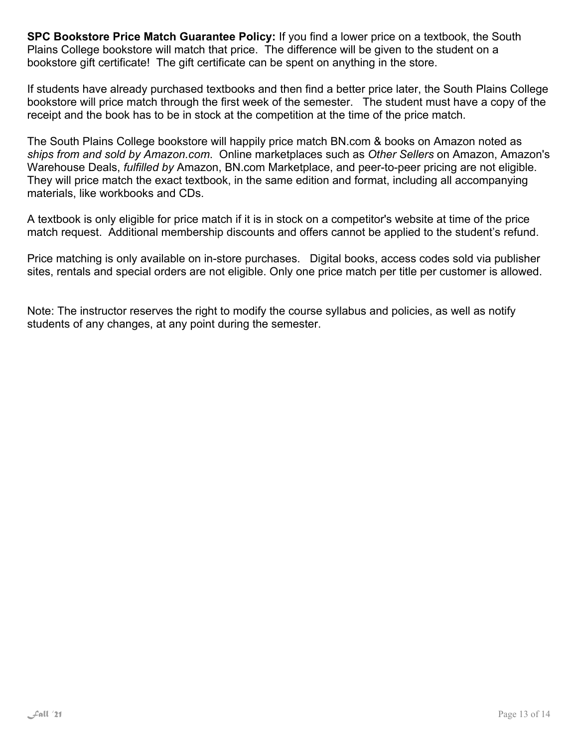**SPC Bookstore Price Match Guarantee Policy:** If you find a lower price on a textbook, the South Plains College bookstore will match that price. The difference will be given to the student on a bookstore gift certificate! The gift certificate can be spent on anything in the store.

If students have already purchased textbooks and then find a better price later, the South Plains College bookstore will price match through the first week of the semester. The student must have a copy of the receipt and the book has to be in stock at the competition at the time of the price match.

The South Plains College bookstore will happily price match BN.com & books on Amazon noted as *ships from and sold by Amazon.com*. Online marketplaces such as *Other Sellers* on Amazon, Amazon's Warehouse Deals, *fulfilled by* Amazon, BN.com Marketplace, and peer-to-peer pricing are not eligible. They will price match the exact textbook, in the same edition and format, including all accompanying materials, like workbooks and CDs.

A textbook is only eligible for price match if it is in stock on a competitor's website at time of the price match request. Additional membership discounts and offers cannot be applied to the student's refund.

Price matching is only available on in-store purchases. Digital books, access codes sold via publisher sites, rentals and special orders are not eligible. Only one price match per title per customer is allowed.

Note: The instructor reserves the right to modify the course syllabus and policies, as well as notify students of any changes, at any point during the semester.